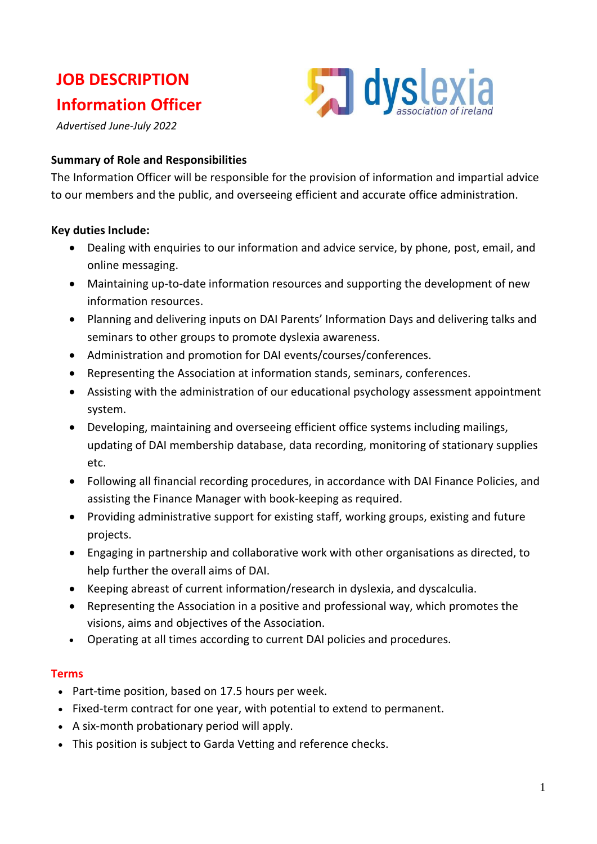# **JOB DESCRIPTION Information Officer**

*Advertised June-July 2022*

#### **Summary of Role and Responsibilities**

The Information Officer will be responsible for the provision of information and impartial advice to our members and the public, and overseeing efficient and accurate office administration.

**5 dyslexia** 

### **Key duties Include:**

- Dealing with enquiries to our information and advice service, by phone, post, email, and online messaging.
- Maintaining up-to-date information resources and supporting the development of new information resources.
- Planning and delivering inputs on DAI Parents' Information Days and delivering talks and seminars to other groups to promote dyslexia awareness.
- Administration and promotion for DAI events/courses/conferences.
- Representing the Association at information stands, seminars, conferences.
- Assisting with the administration of our educational psychology assessment appointment system.
- Developing, maintaining and overseeing efficient office systems including mailings, updating of DAI membership database, data recording, monitoring of stationary supplies etc.
- Following all financial recording procedures, in accordance with DAI Finance Policies, and assisting the Finance Manager with book-keeping as required.
- Providing administrative support for existing staff, working groups, existing and future projects.
- Engaging in partnership and collaborative work with other organisations as directed, to help further the overall aims of DAI.
- Keeping abreast of current information/research in dyslexia, and dyscalculia.
- Representing the Association in a positive and professional way, which promotes the visions, aims and objectives of the Association.
- Operating at all times according to current DAI policies and procedures.

#### **Terms**

- Part-time position, based on 17.5 hours per week.
- Fixed-term contract for one year, with potential to extend to permanent.
- A six-month probationary period will apply.
- This position is subject to Garda Vetting and reference checks.